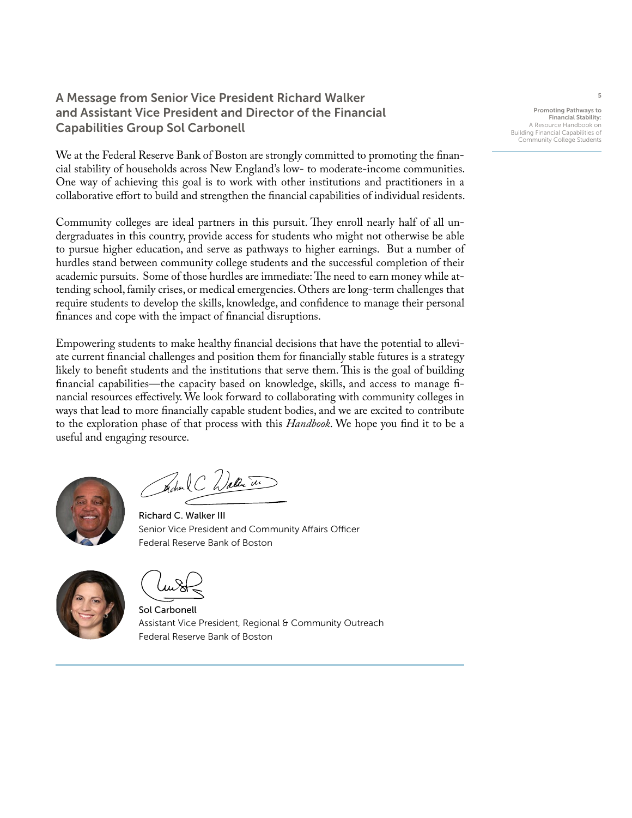## A Message from Senior Vice President Richard Walker and Assistant Vice President and Director of the Financial Capabilities Group Sol Carbonell

We at the Federal Reserve Bank of Boston are strongly committed to promoting the financial stability of households across New England's low- to moderate-income communities. One way of achieving this goal is to work with other institutions and practitioners in a collaborative effort to build and strengthen the financial capabilities of individual residents.

Community colleges are ideal partners in this pursuit. They enroll nearly half of all undergraduates in this country, provide access for students who might not otherwise be able to pursue higher education, and serve as pathways to higher earnings. But a number of hurdles stand between community college students and the successful completion of their academic pursuits. Some of those hurdles are immediate: The need to earn money while attending school, family crises, or medical emergencies. Others are long-term challenges that require students to develop the skills, knowledge, and confidence to manage their personal finances and cope with the impact of financial disruptions.

Empowering students to make healthy financial decisions that have the potential to alleviate current financial challenges and position them for financially stable futures is a strategy likely to benefit students and the institutions that serve them. This is the goal of building financial capabilities—the capacity based on knowledge, skills, and access to manage financial resources effectively. We look forward to collaborating with community colleges in ways that lead to more financially capable student bodies, and we are excited to contribute to the exploration phase of that process with this *Handbook*. We hope you find it to be a useful and engaging resource.



Fechan C Waller The

Richard C. Walker III Senior Vice President and Community Affairs Officer Federal Reserve Bank of Boston



Sol Carbonell Assistant Vice President, Regional & Community Outreach Federal Reserve Bank of Boston

Promoting Pathways to Financial Stability: A Resource Handbook o Building Financial Capabilities of Community College Students

5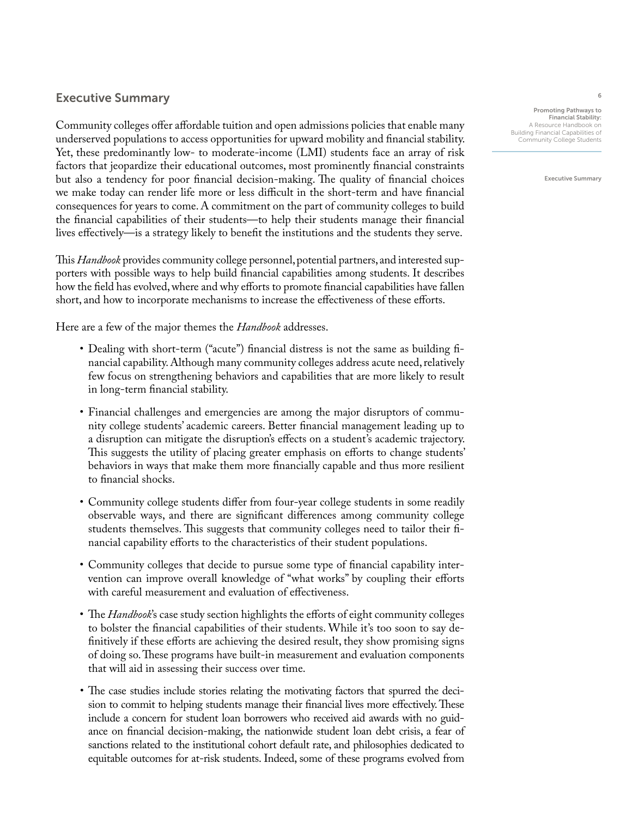## Executive Summary

Community colleges offer affordable tuition and open admissions policies that enable many underserved populations to access opportunities for upward mobility and financial stability. Yet, these predominantly low- to moderate-income (LMI) students face an array of risk factors that jeopardize their educational outcomes, most prominently financial constraints but also a tendency for poor financial decision-making. The quality of financial choices we make today can render life more or less difficult in the short-term and have financial consequences for years to come. A commitment on the part of community colleges to build the financial capabilities of their students—to help their students manage their financial lives effectively—is a strategy likely to benefit the institutions and the students they serve.

This *Handbook* provides community college personnel, potential partners, and interested supporters with possible ways to help build financial capabilities among students. It describes how the field has evolved, where and why efforts to promote financial capabilities have fallen short, and how to incorporate mechanisms to increase the effectiveness of these efforts.

Here are a few of the major themes the *Handbook* addresses.

- Dealing with short-term ("acute") financial distress is not the same as building financial capability. Although many community colleges address acute need, relatively few focus on strengthening behaviors and capabilities that are more likely to result in long-term financial stability.
- Financial challenges and emergencies are among the major disruptors of community college students' academic careers. Better financial management leading up to a disruption can mitigate the disruption's effects on a student's academic trajectory. This suggests the utility of placing greater emphasis on efforts to change students' behaviors in ways that make them more financially capable and thus more resilient to financial shocks.
- Community college students differ from four-year college students in some readily observable ways, and there are significant differences among community college students themselves. This suggests that community colleges need to tailor their financial capability efforts to the characteristics of their student populations.
- Community colleges that decide to pursue some type of financial capability intervention can improve overall knowledge of "what works" by coupling their efforts with careful measurement and evaluation of effectiveness.
- The *Handbook*'s case study section highlights the efforts of eight community colleges to bolster the financial capabilities of their students. While it's too soon to say definitively if these efforts are achieving the desired result, they show promising signs of doing so. These programs have built-in measurement and evaluation components that will aid in assessing their success over time.
- The case studies include stories relating the motivating factors that spurred the decision to commit to helping students manage their financial lives more effectively. These include a concern for student loan borrowers who received aid awards with no guidance on financial decision-making, the nationwide student loan debt crisis, a fear of sanctions related to the institutional cohort default rate, and philosophies dedicated to equitable outcomes for at-risk students. Indeed, some of these programs evolved from

Promoting Pathways to Financial Stability: A Resource Handbook on Building Financial Capabilities of Community College Students

Executive Summary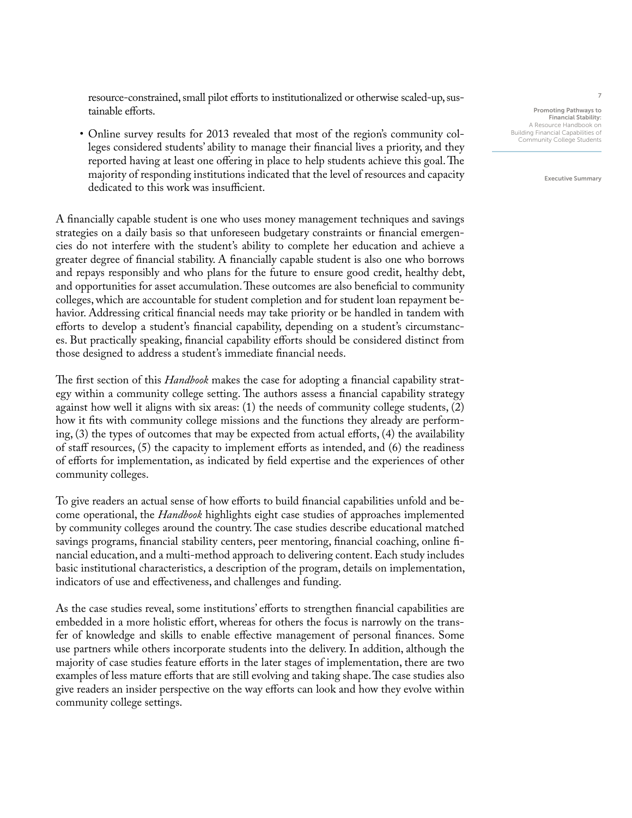resource-constrained, small pilot efforts to institutionalized or otherwise scaled-up, sustainable efforts.

• Online survey results for 2013 revealed that most of the region's community colleges considered students' ability to manage their financial lives a priority, and they reported having at least one offering in place to help students achieve this goal. The majority of responding institutions indicated that the level of resources and capacity dedicated to this work was insufficient.

A financially capable student is one who uses money management techniques and savings strategies on a daily basis so that unforeseen budgetary constraints or financial emergencies do not interfere with the student's ability to complete her education and achieve a greater degree of financial stability. A financially capable student is also one who borrows and repays responsibly and who plans for the future to ensure good credit, healthy debt, and opportunities for asset accumulation. These outcomes are also beneficial to community colleges, which are accountable for student completion and for student loan repayment behavior. Addressing critical financial needs may take priority or be handled in tandem with efforts to develop a student's financial capability, depending on a student's circumstances. But practically speaking, financial capability efforts should be considered distinct from those designed to address a student's immediate financial needs.

The first section of this *Handbook* makes the case for adopting a financial capability strategy within a community college setting. The authors assess a financial capability strategy against how well it aligns with six areas: (1) the needs of community college students, (2) how it fits with community college missions and the functions they already are performing, (3) the types of outcomes that may be expected from actual efforts, (4) the availability of staff resources, (5) the capacity to implement efforts as intended, and (6) the readiness of efforts for implementation, as indicated by field expertise and the experiences of other community colleges.

To give readers an actual sense of how efforts to build financial capabilities unfold and become operational, the *Handbook* highlights eight case studies of approaches implemented by community colleges around the country. The case studies describe educational matched savings programs, financial stability centers, peer mentoring, financial coaching, online financial education, and a multi-method approach to delivering content. Each study includes basic institutional characteristics, a description of the program, details on implementation, indicators of use and effectiveness, and challenges and funding.

As the case studies reveal, some institutions' efforts to strengthen financial capabilities are embedded in a more holistic effort, whereas for others the focus is narrowly on the transfer of knowledge and skills to enable effective management of personal finances. Some use partners while others incorporate students into the delivery. In addition, although the majority of case studies feature efforts in the later stages of implementation, there are two examples of less mature efforts that are still evolving and taking shape. The case studies also give readers an insider perspective on the way efforts can look and how they evolve within community college settings.

Promoting Pathways to Financial Stability: A Resource Handbook on Building Financial Capabilities of Community College Students

Executive Summary

7